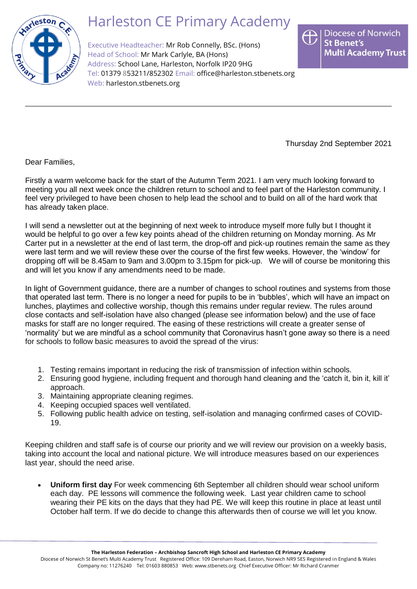

## Harleston CE Primary Academy

Executive Headteacher: Mr Rob Connelly, BSc. (Hons) Head of School: Mr Mark Carlyle, BA (Hons) Address: School Lane, Harleston, Norfolk IP20 9HG Tel: 01379 853211/852302 Email: [office@harleston.stbenets.org](mailto:office@harleston.stbenets.org) Web: [harleston.stbenets.org](https://harleston.stbenets.org/)



Thursday 2nd September 2021

Dear Families,

Firstly a warm welcome back for the start of the Autumn Term 2021. I am very much looking forward to meeting you all next week once the children return to school and to feel part of the Harleston community. I feel very privileged to have been chosen to help lead the school and to build on all of the hard work that has already taken place.

I will send a newsletter out at the beginning of next week to introduce myself more fully but I thought it would be helpful to go over a few key points ahead of the children returning on Monday morning. As Mr Carter put in a newsletter at the end of last term, the drop-off and pick-up routines remain the same as they were last term and we will review these over the course of the first few weeks. However, the 'window' for dropping off will be 8.45am to 9am and 3.00pm to 3.15pm for pick-up. We will of course be monitoring this and will let you know if any amendments need to be made.

In light of Government guidance, there are a number of changes to school routines and systems from those that operated last term. There is no longer a need for pupils to be in 'bubbles', which will have an impact on lunches, playtimes and collective worship, though this remains under regular review. The rules around close contacts and self-isolation have also changed (please see information below) and the use of face masks for staff are no longer required. The easing of these restrictions will create a greater sense of 'normality' but we are mindful as a school community that Coronavirus hasn't gone away so there is a need for schools to follow basic measures to avoid the spread of the virus:

- 1. Testing remains important in reducing the risk of transmission of infection within schools.
- 2. Ensuring good hygiene, including frequent and thorough hand cleaning and the 'catch it, bin it, kill it' approach.
- 3. Maintaining appropriate cleaning regimes.
- 4. Keeping occupied spaces well ventilated.
- 5. Following public health advice on testing, self-isolation and managing confirmed cases of COVID-19.

Keeping children and staff safe is of course our priority and we will review our provision on a weekly basis, taking into account the local and national picture. We will introduce measures based on our experiences last year, should the need arise.

• **Uniform first day** For week commencing 6th September all children should wear school uniform each day. PE lessons will commence the following week. Last year children came to school wearing their PE kits on the days that they had PE. We will keep this routine in place at least until October half term. If we do decide to change this afterwards then of course we will let you know.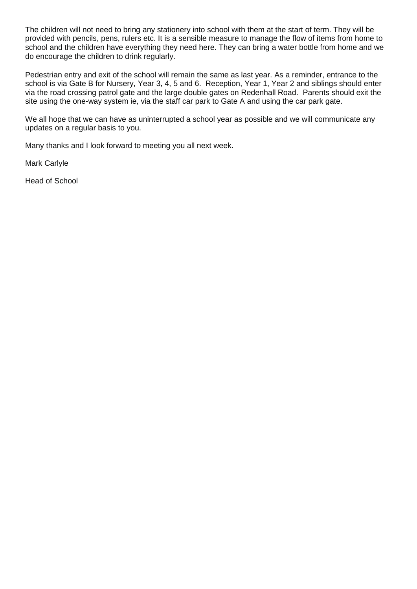The children will not need to bring any stationery into school with them at the start of term. They will be provided with pencils, pens, rulers etc. It is a sensible measure to manage the flow of items from home to school and the children have everything they need here. They can bring a water bottle from home and we do encourage the children to drink regularly.

Pedestrian entry and exit of the school will remain the same as last year. As a reminder, entrance to the school is via Gate B for Nursery, Year 3, 4, 5 and 6. Reception, Year 1, Year 2 and siblings should enter via the road crossing patrol gate and the large double gates on Redenhall Road. Parents should exit the site using the one-way system ie, via the staff car park to Gate A and using the car park gate.

We all hope that we can have as uninterrupted a school year as possible and we will communicate any updates on a regular basis to you.

Many thanks and I look forward to meeting you all next week.

Mark Carlyle

Head of School